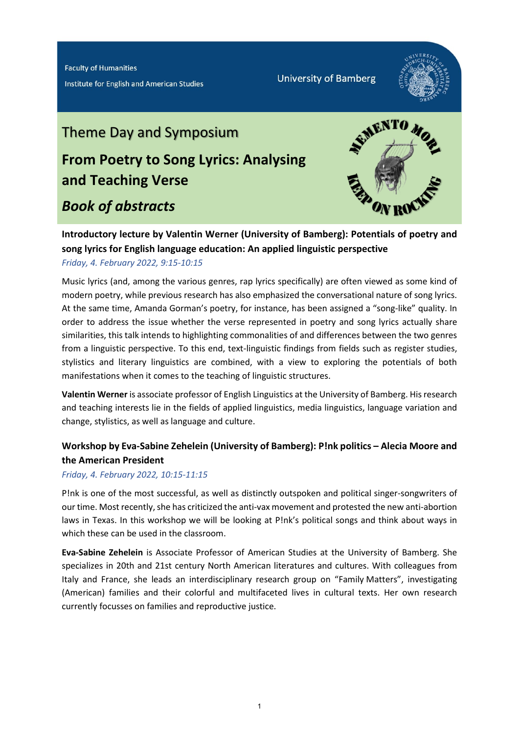Institute for English and American Studies

**University of Bamberg** 



# Theme Day and Symposium **From Poetry to Song Lyrics: Analysing and Teaching Verse**

## *Book of abstracts*



**Introductory lecture by Valentin Werner (University of Bamberg): Potentials of poetry and song lyrics for English language education: An applied linguistic perspective** 

*Friday, 4. February 2022, 9:15-10:15*

Music lyrics (and, among the various genres, rap lyrics specifically) are often viewed as some kind of modern poetry, while previous research has also emphasized the conversational nature of song lyrics. At the same time, Amanda Gorman's poetry, for instance, has been assigned a "song-like" quality. In order to address the issue whether the verse represented in poetry and song lyrics actually share similarities, this talk intends to highlighting commonalities of and differences between the two genres from a linguistic perspective. To this end, text-linguistic findings from fields such as register studies, stylistics and literary linguistics are combined, with a view to exploring the potentials of both manifestations when it comes to the teaching of linguistic structures.

**Valentin Werner** is associate professor of English Linguistics at the University of Bamberg. His research and teaching interests lie in the fields of applied linguistics, media linguistics, language variation and change, stylistics, as well as language and culture.

## **Workshop by Eva-Sabine Zehelein (University of Bamberg): P!nk politics – Alecia Moore and the American President**

*Friday, 4. February 2022, 10:15-11:15*

P!nk is one of the most successful, as well as distinctly outspoken and political singer-songwriters of our time. Most recently, she has criticized the anti-vax movement and protested the new anti-abortion laws in Texas. In this workshop we will be looking at P!nk's political songs and think about ways in which these can be used in the classroom.

**Eva-Sabine Zehelein** is Associate Professor of American Studies at the University of Bamberg. She specializes in 20th and 21st century North American literatures and cultures. With colleagues from Italy and France, she leads an interdisciplinary research group on "Family Matters", investigating (American) families and their colorful and multifaceted lives in cultural texts. Her own research currently focusses on families and reproductive justice.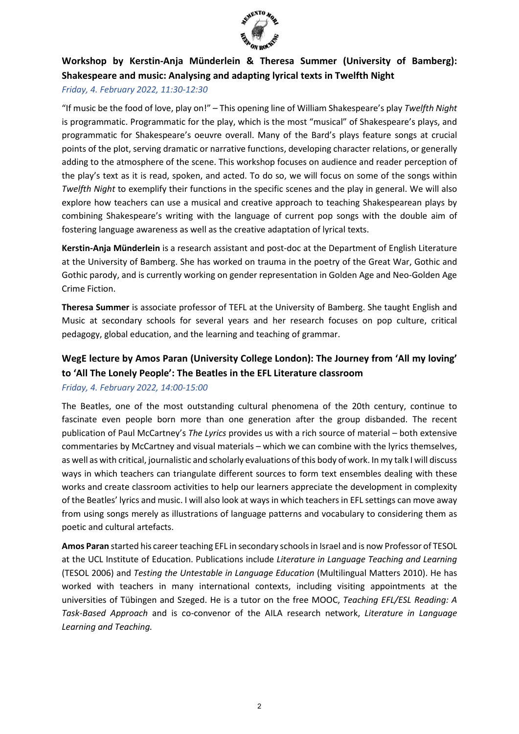

## **Workshop by Kerstin-Anja Münderlein & Theresa Summer (University of Bamberg): Shakespeare and music: Analysing and adapting lyrical texts in Twelfth Night**

#### *Friday, 4. February 2022, 11:30-12:30*

"If music be the food of love, play on!" – This opening line of William Shakespeare's play *Twelfth Night*  is programmatic. Programmatic for the play, which is the most "musical" of Shakespeare's plays, and programmatic for Shakespeare's oeuvre overall. Many of the Bard's plays feature songs at crucial points of the plot, serving dramatic or narrative functions, developing character relations, or generally adding to the atmosphere of the scene. This workshop focuses on audience and reader perception of the play's text as it is read, spoken, and acted. To do so, we will focus on some of the songs within *Twelfth Night* to exemplify their functions in the specific scenes and the play in general. We will also explore how teachers can use a musical and creative approach to teaching Shakespearean plays by combining Shakespeare's writing with the language of current pop songs with the double aim of fostering language awareness as well as the creative adaptation of lyrical texts.

**Kerstin-Anja Münderlein** is a research assistant and post-doc at the Department of English Literature at the University of Bamberg. She has worked on trauma in the poetry of the Great War, Gothic and Gothic parody, and is currently working on gender representation in Golden Age and Neo-Golden Age Crime Fiction.

**Theresa Summer** is associate professor of TEFL at the University of Bamberg. She taught English and Music at secondary schools for several years and her research focuses on pop culture, critical pedagogy, global education, and the learning and teaching of grammar.

## **WegE lecture by Amos Paran (University College London): The Journey from 'All my loving' to 'All The Lonely People': The Beatles in the EFL Literature classroom**

#### *Friday, 4. February 2022, 14:00-15:00*

The Beatles, one of the most outstanding cultural phenomena of the 20th century, continue to fascinate even people born more than one generation after the group disbanded. The recent publication of Paul McCartney's *The Lyrics* provides us with a rich source of material – both extensive commentaries by McCartney and visual materials – which we can combine with the lyrics themselves, as well as with critical, journalistic and scholarly evaluations of this body of work. In my talk I will discuss ways in which teachers can triangulate different sources to form text ensembles dealing with these works and create classroom activities to help our learners appreciate the development in complexity of the Beatles' lyrics and music. I will also look at ways in which teachers in EFL settings can move away from using songs merely as illustrations of language patterns and vocabulary to considering them as poetic and cultural artefacts.

**Amos Paran** started his career teaching EFL in secondary schools in Israel and is now Professor of TESOL at the UCL Institute of Education. Publications include *Literature in Language Teaching and Learning*  (TESOL 2006) and *Testing the Untestable in Language Education* (Multilingual Matters 2010). He has worked with teachers in many international contexts, including visiting appointments at the universities of Tübingen and Szeged. He is a tutor on the free MOOC, *Teaching EFL/ESL Reading: A Task-Based Approach* and is co-convenor of the AILA research network, *Literature in Language Learning and Teaching.*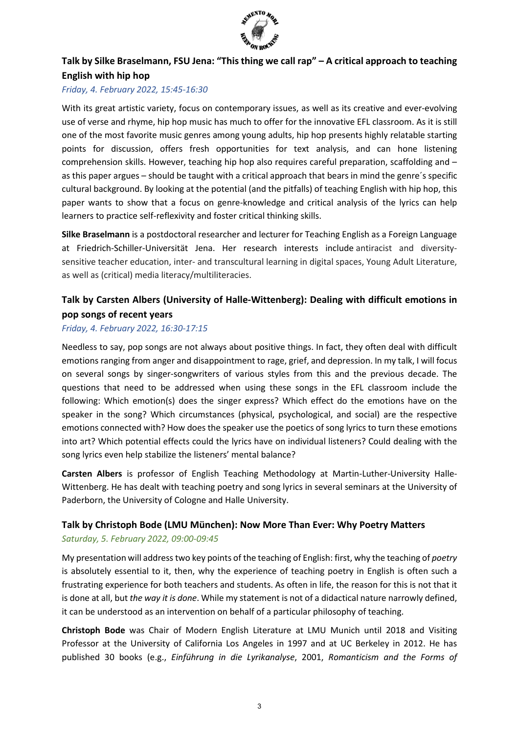

## **Talk by Silke Braselmann, FSU Jena: "This thing we call rap" – A critical approach to teaching English with hip hop**

#### *Friday, 4. February 2022, 15:45-16:30*

With its great artistic variety, focus on contemporary issues, as well as its creative and ever-evolving use of verse and rhyme, hip hop music has much to offer for the innovative EFL classroom. As it is still one of the most favorite music genres among young adults, hip hop presents highly relatable starting points for discussion, offers fresh opportunities for text analysis, and can hone listening comprehension skills. However, teaching hip hop also requires careful preparation, scaffolding and – as this paper argues – should be taught with a critical approach that bears in mind the genre´s specific cultural background. By looking at the potential (and the pitfalls) of teaching English with hip hop, this paper wants to show that a focus on genre-knowledge and critical analysis of the lyrics can help learners to practice self-reflexivity and foster critical thinking skills.

**Silke Braselmann** is a postdoctoral researcher and lecturer for Teaching English as a Foreign Language at Friedrich-Schiller-Universität Jena. Her research interests include antiracist and diversitysensitive teacher education, inter- and transcultural learning in digital spaces, Young Adult Literature, as well as (critical) media literacy/multiliteracies.

## **Talk by Carsten Albers (University of Halle-Wittenberg): Dealing with difficult emotions in pop songs of recent years**

#### *Friday, 4. February 2022, 16:30-17:15*

Needless to say, pop songs are not always about positive things. In fact, they often deal with difficult emotions ranging from anger and disappointment to rage, grief, and depression. In my talk, I will focus on several songs by singer-songwriters of various styles from this and the previous decade. The questions that need to be addressed when using these songs in the EFL classroom include the following: Which emotion(s) does the singer express? Which effect do the emotions have on the speaker in the song? Which circumstances (physical, psychological, and social) are the respective emotions connected with? How does the speaker use the poetics of song lyrics to turn these emotions into art? Which potential effects could the lyrics have on individual listeners? Could dealing with the song lyrics even help stabilize the listeners' mental balance?

**Carsten Albers** is professor of English Teaching Methodology at Martin-Luther-University Halle-Wittenberg. He has dealt with teaching poetry and song lyrics in several seminars at the University of Paderborn, the University of Cologne and Halle University.

#### **Talk by Christoph Bode (LMU München): Now More Than Ever: Why Poetry Matters**

#### *Saturday, 5. February 2022, 09:00-09:45*

My presentation will address two key points of the teaching of English: first, why the teaching of *poetry* is absolutely essential to it, then, why the experience of teaching poetry in English is often such a frustrating experience for both teachers and students. As often in life, the reason for this is not that it is done at all, but *the way it is done*. While my statement is not of a didactical nature narrowly defined, it can be understood as an intervention on behalf of a particular philosophy of teaching.

**Christoph Bode** was Chair of Modern English Literature at LMU Munich until 2018 and Visiting Professor at the University of California Los Angeles in 1997 and at UC Berkeley in 2012. He has published 30 books (e.g., *Einführung in die Lyrikanalyse*, 2001, *Romanticism and the Forms of*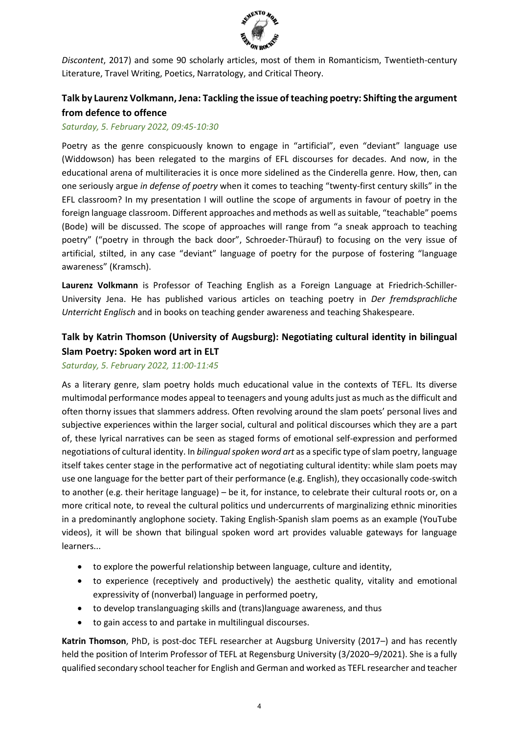

*Discontent*, 2017) and some 90 scholarly articles, most of them in Romanticism, Twentieth-century Literature, Travel Writing, Poetics, Narratology, and Critical Theory.

## **Talk by Laurenz Volkmann, Jena: Tackling the issue of teaching poetry: Shifting the argument from defence to offence**

#### *Saturday, 5. February 2022, 09:45-10:30*

Poetry as the genre conspicuously known to engage in "artificial", even "deviant" language use (Widdowson) has been relegated to the margins of EFL discourses for decades. And now, in the educational arena of multiliteracies it is once more sidelined as the Cinderella genre. How, then, can one seriously argue *in defense of poetry* when it comes to teaching "twenty-first century skills" in the EFL classroom? In my presentation I will outline the scope of arguments in favour of poetry in the foreign language classroom. Different approaches and methods as well as suitable, "teachable" poems (Bode) will be discussed. The scope of approaches will range from "a sneak approach to teaching poetry" ("poetry in through the back door", Schroeder-Thürauf) to focusing on the very issue of artificial, stilted, in any case "deviant" language of poetry for the purpose of fostering "language awareness" (Kramsch).

**Laurenz Volkmann** is Professor of Teaching English as a Foreign Language at Friedrich-Schiller-University Jena. He has published various articles on teaching poetry in *Der fremdsprachliche Unterricht Englisch* and in books on teaching gender awareness and teaching Shakespeare.

## **Talk by Katrin Thomson (University of Augsburg): Negotiating cultural identity in bilingual Slam Poetry: Spoken word art in ELT**

#### *Saturday, 5. February 2022, 11:00-11:45*

As a literary genre, slam poetry holds much educational value in the contexts of TEFL. Its diverse multimodal performance modes appeal to teenagers and young adults just as much as the difficult and often thorny issues that slammers address. Often revolving around the slam poets' personal lives and subjective experiences within the larger social, cultural and political discourses which they are a part of, these lyrical narratives can be seen as staged forms of emotional self-expression and performed negotiations of cultural identity. In *bilingual spoken word art* as a specific type of slam poetry, language itself takes center stage in the performative act of negotiating cultural identity: while slam poets may use one language for the better part of their performance (e.g. English), they occasionally code-switch to another (e.g. their heritage language) – be it, for instance, to celebrate their cultural roots or, on a more critical note, to reveal the cultural politics und undercurrents of marginalizing ethnic minorities in a predominantly anglophone society. Taking English-Spanish slam poems as an example (YouTube videos), it will be shown that bilingual spoken word art provides valuable gateways for language learners...

- to explore the powerful relationship between language, culture and identity,
- to experience (receptively and productively) the aesthetic quality, vitality and emotional expressivity of (nonverbal) language in performed poetry,
- to develop translanguaging skills and (trans)language awareness, and thus
- to gain access to and partake in multilingual discourses.

**Katrin Thomson**, PhD, is post-doc TEFL researcher at Augsburg University (2017–) and has recently held the position of Interim Professor of TEFL at Regensburg University (3/2020–9/2021). She is a fully qualified secondary school teacher for English and German and worked as TEFL researcher and teacher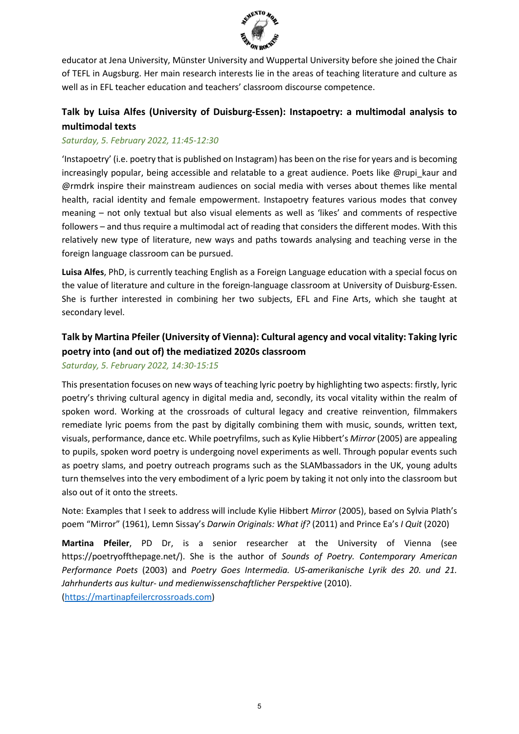

educator at Jena University, Münster University and Wuppertal University before she joined the Chair of TEFL in Augsburg. Her main research interests lie in the areas of teaching literature and culture as well as in EFL teacher education and teachers' classroom discourse competence.

## **Talk by Luisa Alfes (University of Duisburg-Essen): Instapoetry: a multimodal analysis to multimodal texts**

#### *Saturday, 5. February 2022, 11:45-12:30*

'Instapoetry' (i.e. poetry that is published on Instagram) has been on the rise for years and is becoming increasingly popular, being accessible and relatable to a great audience. Poets like @rupi\_kaur and @rmdrk inspire their mainstream audiences on social media with verses about themes like mental health, racial identity and female empowerment. Instapoetry features various modes that convey meaning – not only textual but also visual elements as well as 'likes' and comments of respective followers – and thus require a multimodal act of reading that considers the different modes. With this relatively new type of literature, new ways and paths towards analysing and teaching verse in the foreign language classroom can be pursued.

**Luisa Alfes**, PhD, is currently teaching English as a Foreign Language education with a special focus on the value of literature and culture in the foreign-language classroom at University of Duisburg-Essen. She is further interested in combining her two subjects, EFL and Fine Arts, which she taught at secondary level.

## **Talk by Martina Pfeiler (University of Vienna): Cultural agency and vocal vitality: Taking lyric poetry into (and out of) the mediatized 2020s classroom**

#### *Saturday, 5. February 2022, 14:30-15:15*

This presentation focuses on new ways of teaching lyric poetry by highlighting two aspects: firstly, lyric poetry's thriving cultural agency in digital media and, secondly, its vocal vitality within the realm of spoken word. Working at the crossroads of cultural legacy and creative reinvention, filmmakers remediate lyric poems from the past by digitally combining them with music, sounds, written text, visuals, performance, dance etc. While poetryfilms, such as Kylie Hibbert's *Mirror* (2005) are appealing to pupils, spoken word poetry is undergoing novel experiments as well. Through popular events such as poetry slams, and poetry outreach programs such as the SLAMbassadors in the UK, young adults turn themselves into the very embodiment of a lyric poem by taking it not only into the classroom but also out of it onto the streets.

Note: Examples that I seek to address will include Kylie Hibbert *Mirror* (2005), based on Sylvia Plath's poem "Mirror" (1961), Lemn Sissay's *Darwin Originals: What if?* (2011) and Prince Ea's *I Quit* (2020)

**Martina Pfeiler**, PD Dr, is a senior researcher at the University of Vienna (see https://poetryoffthepage.net/). She is the author of *Sounds of Poetry. Contemporary American Performance Poets* (2003) and *Poetry Goes Intermedia. US-amerikanische Lyrik des 20. und 21. Jahrhunderts aus kultur- und medienwissenschaftlicher Perspektive* (2010). [\(https://martinapfeilercrossroads.com\)](https://martinapfeilercrossroads.com/)